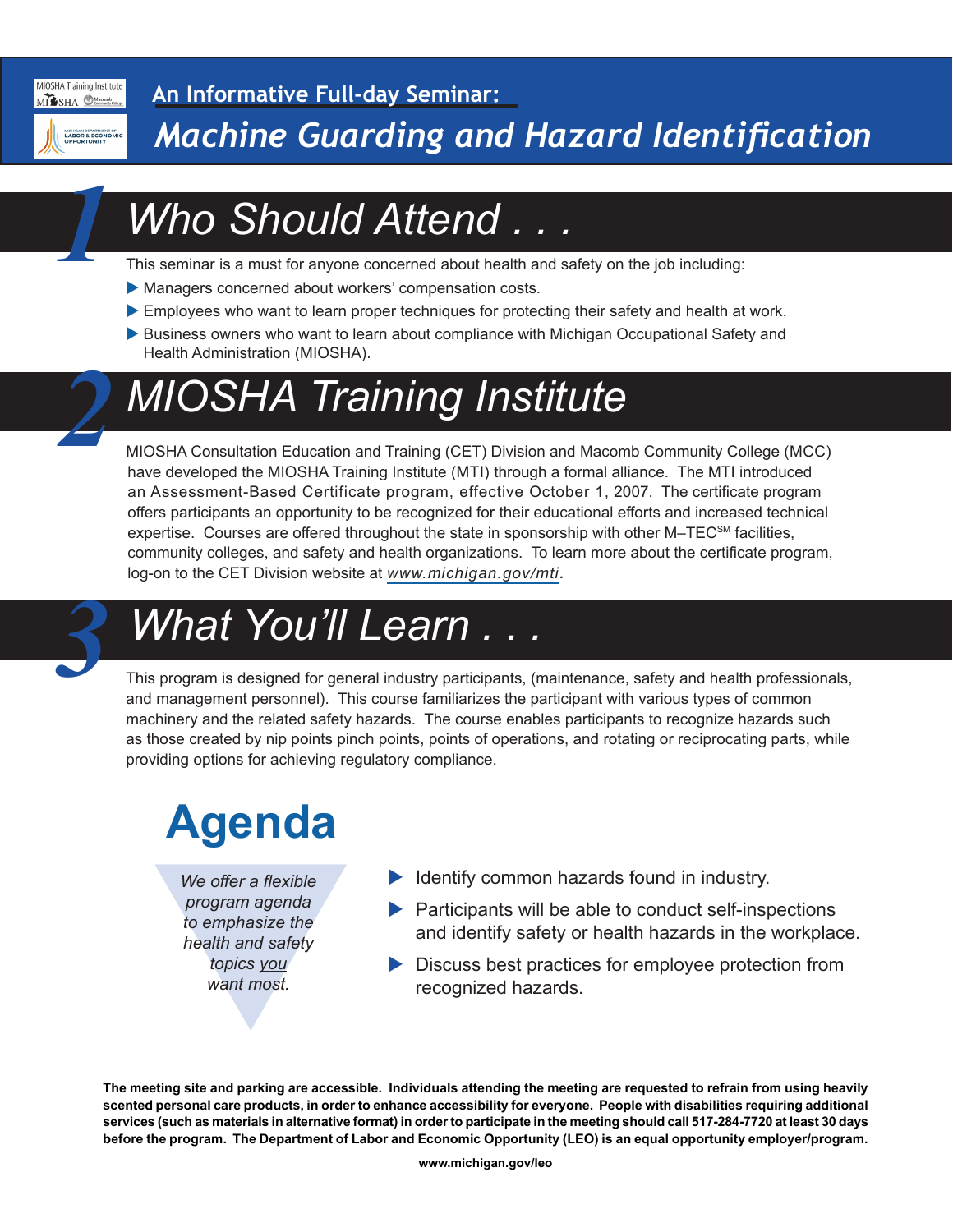

*1*

*2*

#### **An Informative Full-day Seminar:**

*Machine Guarding and Hazard Identification*

## *Who Should Attend . . .*

This seminar is a must for anyone concerned about health and safety on the job including:

- Managers concerned about workers' compensation costs.
- Employees who want to learn proper techniques for protecting their safety and health at work.
- Business owners who want to learn about compliance with Michigan Occupational Safety and Health Administration (MIOSHA).

## *MIOSHA Training Institute*

MIOSHA Consultation Education and Training (CET) Division and Macomb Community College (MCC) have developed the MIOSHA Training Institute (MTI) through a formal alliance. The MTI introduced an Assessment-Based Certificate program, effective October 1, 2007. The certificate program offers participants an opportunity to be recognized for their educational efforts and increased technical expertise. Courses are offered throughout the state in sponsorship with other M–TEC<sup>SM</sup> facilities, community colleges, and safety and health organizations. To learn more about the certificate program, log-on to the CET Division website at *www.michigan.gov/mti.*

### *What You'll Learn . .*

This program is designed for general industry participants, (maintenance, safety and health professionals, and management personnel). This course familiarizes the participant with various types of common machinery and the related safety hazards. The course enables participants to recognize hazards such as those created by nip points pinch points, points of operations, and rotating or reciprocating parts, while providing options for achieving regulatory compliance.

# **Agenda**

We offer a flexible<br>program agenda<br>to emphasize the<br>health and safety<br>topics <u>you</u><br>want most. *We offer a flexible program agenda to emphasize the health and safety topics you want most.*

- $\blacktriangleright$  Identify common hazards found in industry.
- $\blacktriangleright$  Participants will be able to conduct self-inspections and identify safety or health hazards in the workplace.
- $\blacktriangleright$  Discuss best practices for employee protection from recognized hazards.

**The meeting site and parking are accessible. Individuals attending the meeting are requested to refrain from using heavily scented personal care products, in order to enhance accessibility for everyone. People with disabilities requiring additional services (such as materials in alternative format) in order to participate in the meeting should call 517-284-7720 at least 30 days before the program. The Department of Labor and Economic Opportunity (LEO) is an equal opportunity employer/program.**